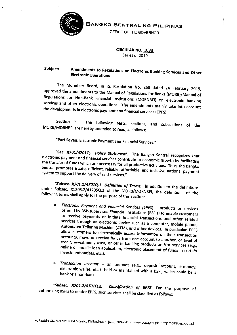

,

BANGKO SENTRAL NG PILIPINAS

OFFICE OF THE GOVERNOR

### CIRCULAR No. 1033 Series of 2019

#### Amendments to Regulations on Electronic Banking Services and Other Electronic Operations Subject:

The Monetary Board, in its Resolution No. 258 dated 14 February 2019, approved the amendments to the Manual of Regulations for Banks (MORB)/Manual of Regulations for Non-Bank Financial Institutions (MORNBFI) on electronic banking services and other electronic operations. The amendments mainly take into account the developments in electronic payment and financial services (EPFS).

Section 1. The following parts, sections, and subsections of the MORB/MORNBFI are hereby amended to read, as follows:

"Part Seven. Electronic Payment and Financial Services."

"Sec. X701/4701Q. Policy Statement. The Bangko Sentral recognizes that electronic payment and financial services contribute to economic growth by facilitating the transfer of funds which are necessary for all productive activities. Thus, the Bangko Sentral promotes a safe, efficient, reliable, affordable, and inclusive national payment system to support the delivery of said services "

"Subsec. X701.1/4701Q.1 Definition of Terms. In addition to the definitions under Subsec. X1205.2/41205Q.2 of the MORB/MORNBFI, the definitions of the following terms shall apply for the purpose of this Section:

- a. Electronic Payment and Financial Services (EPFS) products or services of ' offered by BSP-supervised Financial Institutions (BSFIs) to enable customers to receive payments or initiate financial transactions and other related services through an electronic device such as a computer, mobile phone, Automated Tellering Machine (ATM), and other devices. In particular, EPFS allow customers to electronically access information on their transaction accounts, move or receive funds from one account to another, or avail of credit, investment, trust, or other banking products and/or services (e.g., online or mobile loan application, electronic placement of funds in certain investment outlets, etc. ).
- b. Transaction  $account an account$  (e.g., deposit account, e-money, electronic wallet, etc.) held or maintained with a BSFI, which could be a bank or a non-bank

Subsec. X/01.2/4701Q.2. Classification of EPFS. For the purpose of authorizing BSFIs to render EPFS, such services shall be classified as follows: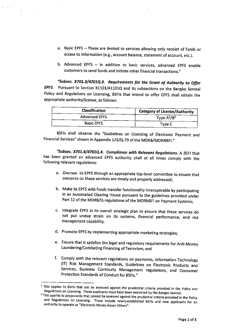- a. Basic EPFS These are limited to services allowing only receipt of funds or access to information (e.g., account balance, statement of account, etc.).
- b. Advanced EPFS In addition to basic services, advanced EPFS enable customers to send funds and initiate other financial transactions "

"Subsec. X701.3/4701Q.3. Requirements for the Grant of Authority to Offer EPFS. Pursuant to Section X1101/41101Q and its subsections on the Bangko Sentral Policy and Regulations on Licensing, BSFls that intend to offer EPFS shall obtain the appropriate authority/license, as follows:

| <b>Classification</b> | <b>Category of License/Authority</b> |
|-----------------------|--------------------------------------|
| <b>Advanced EPFS</b>  | Type $A^1/B^2$                       |
| <b>Basic EPFS</b>     | Tvpe C                               |

BSFls shall observe the "Guidelines on Licensing of Electronic Payment and Financial Services" shown in Appendix 125/Q-79 of the MORB/MORNBFI."

"Subsec. X701.4/4701Q.4. Compliance with Relevant Regulations. A BSFI that has been granted an advanced EPFS authority shall at all times comply with the following relevant regulations:

- a. Oversee its EPFS through an appropriate top-level committee to ensure that concerns on these services are timely and properly addressed;
- b. Make its EPFS with funds transfer functionality interoperable by participat in an Automated Clearing House pursuant to the guidelines provided under Part 12 of the MORB/q-regulations of the MORNBFl on Payment Systems;
- c. Integrate EPFS in its overall strategic plan to ensure that these services do not put undue strain on its systems, financial performance, and risk management capability;
- d. Promote EPFS by implementing appropriate marketing strategies;
- e. Ensure that it satisfies the legal and regulatory requirements for Anti-Mone Laundering/Combating Financing of Terrorism; and
- Comply with the relevant regulations on payments, Information Technolo f. (IT) Risk Management Standards, Guidelines on Electronic Products and Services, Business Continuity Management regulations, and Consumer Protection Standards of Conduct for BSFls "

 $1$  This applies to BSFIs that can be assessed against the prudential criteria provided in the Policy and Regulations on Licensing. These applicants must have been examined by the Bangko Sentral.

 $2$  This applies to proponents that cannot be assessed against the prudential criteria provided in the Policy and Regulations on Licensing. These include newly-established BSFIs and new applicants for an authority to operate as "Electronic Money Issuer-Others"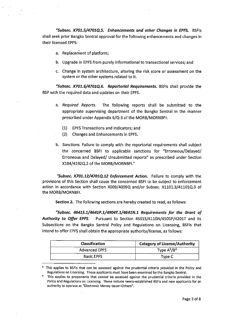"Subsec. X701.5/4701Q.5. Enhancements and other Changes in EPFS. BSFIs shall seek prior Bangko Sentral approval for the following enhancements and changes in their licensed EPFS:

a. Replacement of platform; .

I

- b. Upgrade in EPFS from purely informational to transactional services; and
- c. Change in system architecture, altering the risk score or assessment on the system or the other systems related to it.

"Subsec. X701.6/4701Q.6. Reportorial Requirements. BSFIs shall provide the BSP with the required data and updates on their EPFS.

- a. Required Reports. The following reports shall be submitted to the appropriate supervising department of the Bangko Sentral in the manner prescribed under Appendix 6/Q-3 of the MORB/MORNBFI:
	- (1) EPFS Transactions and Indicators; and
	- (2) Changes and Enhancements in EPFS.
- b. Sanctions. Failure to comply with the reportorial requirements shall subject the concerned BSFl to applicable sanctions for "Erroneous/Delayed/ Erroneous and Delayed/ Unsubmitted reports" as prescribed under Section X184/4192Q.2 of the MORB/MORNBFI."

"Subsec. X701.12/4701Q.12 Enforcement Action. Failure to comply with the provisions of this Section shall cause the concerned BSFl to be subject to enforcement action in accordance with Section X009/4009Q and/or Subsec. X1101.3/41101Q.3 of the MORB/MORNBFl.

Section 2. The following sections are hereby created to read, as follows:

"Subsec. 4641S.1/4641P.1/4904T.1/4641N.1 Requirements for the Grant of Authority to Offer EPFS. Pursuant to Section 4501S/4110N/4501P/4201T and its Subsections on the Bangko Sentral Policy and Regulations on Licensing, BSFls that intend to offer EPFS shall obtain the appropriate authority/license, as follows:

| Classification       | <b>Category of License/Authority</b> |
|----------------------|--------------------------------------|
| <b>Advanced EPFS</b> | Type $A^3/B^4$                       |
| <b>Basic EPFS</b>    | Tvpe C                               |

<sup>&</sup>lt;sup>3</sup> This applies to BSFIs that can be assessed against the prudential criteria provided in the Policy and Regulations on Licensing. These applicants must have been examined by the Bangko Sentral.

<sup>&</sup>lt;sup>4</sup> This applies to proponents that cannot be assessed against the prudential criteria provided in the Policy and Regulations on Licensing. These include newly-established BSFls and new applicants for an authority to operate as "Electronic Money Issuer-Others".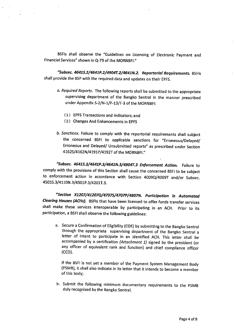BSFls shall observe the "Guidelines on Licensing of Electronic Payment and Financial Services" shown in Q-79 of the MORNBFl. "

"Subsec. 4641S.2/4641P.2/4904T.2/4641N.2. Reportorial Requirements. BSFIs shall provide the BSP with the required data and updates on their EPFS,

- o, Required Reports. The following reports shall be submitted to the appropriate supervising department of the Bangko Sentral in the manner prescribed under Appendix S-2/N-1/P-13/T-3 of the MORNBFI:
	- (I. ) EPFS Transactions and Indicators; and
	- (2 ) Changes And Enhancements in EPFS
- $b.$  Sanctions. Failure to comply with the reportorial requirements shall subject the concerned BSFl to applicable sanctions for "Erroneous/Delayed/ Erroneous and Delayed/ Unsubmitted reports" as prescribed under Section 4162S/4162N/4191P/4192T of the MORNBFl. "

"Subsec. 4641S.3/4641P.3/4641N.3/4904T.3 Enforcement Action. Failure to comply with the provisions of this Section shall cause the concerned BSFl to be sub'ect to enforcement action in accordance with Section 4009Q/4009T and/or Subsec. 4501S.3/4110N.3/4501P.3/4201T.3.

"Section X1207/41207Q/4707S/4707P/4807N. Participation in Automated Clearing Houses (ACHs). BSFIs that have been licensed to offer funds transfer services shall make these services interoperable by participating in an ACH. Prior to its participation, a BSFl shall observe the following guidelines:

a. Secure a Confirmation of Eligibility (COE) by submitting to the Bangko Sentral through the appropriate supervising department of the Bangko Sentral a letter of intent to participate in an identified ACH. This letter shall be accompanied by a certification (Attachment 1) signed by the president (or any officer of equivalent rank and function) and chief compliance officer (cco).

If the BSFl is not yet a member of the Payment System Management Bod (PSMB), it shall also indicate in its letter that it intends to become a member of this body;

b. Submit the following minimum documentary requirements to the PSMB duly recognized by the Bangko Sentral.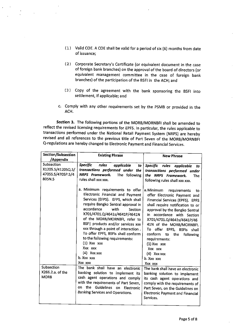- (I. ) Valid COE. A COE shall be valid for a period of six (6) months from date of issuance;
- (2) Corporate Secretary's Certificate (or equivalent document in the case of foreign bank branches) on the approval of the board of directors (or equivalent management committee in the case of foreign bank branches) of the participation of the BSFl in the ACH; and
- (3 ) Copy of the agreement with the bank sponsoring the BSFl into settlement, if applicable; and
- c. Comply with any other requirements set by the PSMB or provided in the ACH.

Section 3. The following portions of the MORB/MORNBFl shall be amended to reflect the revised licensing requirements for EPFS. In particular, the rules applicable to transactions performed under the National Retail Payment System (NRPS) are hereby revised and all references to the previous title of Part Seven of the MORB/MORNBFl Q-regulations are hereby changed to Electronic Payment and Financial Services.

| Section/Subsection | <b>Existing Phrase</b>                                                                                                                                                                                                                                                                                                                                                                                                                                                         | <b>New Phrase</b>                                                                                                                                                                                                                                                                                                                                                                                                           |
|--------------------|--------------------------------------------------------------------------------------------------------------------------------------------------------------------------------------------------------------------------------------------------------------------------------------------------------------------------------------------------------------------------------------------------------------------------------------------------------------------------------|-----------------------------------------------------------------------------------------------------------------------------------------------------------------------------------------------------------------------------------------------------------------------------------------------------------------------------------------------------------------------------------------------------------------------------|
| /Appendix          |                                                                                                                                                                                                                                                                                                                                                                                                                                                                                |                                                                                                                                                                                                                                                                                                                                                                                                                             |
| Subsection         | <b>Specific</b><br>rules<br>applicable<br>to                                                                                                                                                                                                                                                                                                                                                                                                                                   | Specific rules applicable<br>to                                                                                                                                                                                                                                                                                                                                                                                             |
| X1205.5/41205Q.5/  | transactions performed under the                                                                                                                                                                                                                                                                                                                                                                                                                                               | transactions performed under                                                                                                                                                                                                                                                                                                                                                                                                |
| 4705S.5/4705P.5/4  | <b>NRPS</b> Framework.<br>The following                                                                                                                                                                                                                                                                                                                                                                                                                                        | the NRPS Framework.<br><b>The</b>                                                                                                                                                                                                                                                                                                                                                                                           |
| 805N.5             | rules shall xxx xxx.                                                                                                                                                                                                                                                                                                                                                                                                                                                           | following rules shall xxx xxx.                                                                                                                                                                                                                                                                                                                                                                                              |
|                    | a. Minimum requirements to offer<br>Electronic Financial and Payment<br>Services (EFPS). EFPS, which shall<br>require Bangko Sentral approval in<br>accordance<br>with<br>Section<br>X701/4701.Q/4641s/4641P/4641N<br>of the MORB/MORNBFI, refer to<br>BSF   products and/or services xxx<br>xxx through a point of interaction.<br>To offer EPFS, BSFIs shall conform<br>to the following requirements:<br>$(1)$ Xxx xxx<br>Xxx xxx<br>$(4)$ Xxx xxx<br>b. Xxx xxx<br>Xxx xxx | a. Minimum<br>requirements<br>to<br>offer Electronic Payment and<br>Financial Services (EPFS). EPFS<br>shall require notification to or<br>approval by the Bangko Sentral<br>in accordance with Section<br>X701/4701.Q/4641s/4641P/46<br>41N of the MORB/MORNBFI.<br>To offer EPFS, BSFIs shall<br>conform<br>the<br>to<br>following<br>requirements:<br>$(1)$ Xxx xxx<br>Xxx xxx<br>$(4)$ Xxx xxx<br>b. Xxx xxx<br>Xxx xxx |
| Subsection         | The bank shall have an electronic                                                                                                                                                                                                                                                                                                                                                                                                                                              | The bank shall have an electronic                                                                                                                                                                                                                                                                                                                                                                                           |
| X266.2.a. of the   | banking solution to implement its                                                                                                                                                                                                                                                                                                                                                                                                                                              | banking solution to implement                                                                                                                                                                                                                                                                                                                                                                                               |
| <b>MORB</b>        | cash agent operations and comply                                                                                                                                                                                                                                                                                                                                                                                                                                               | its cash agent operations and                                                                                                                                                                                                                                                                                                                                                                                               |
|                    | with the requirements of Part Seven,                                                                                                                                                                                                                                                                                                                                                                                                                                           | comply with the requirements of                                                                                                                                                                                                                                                                                                                                                                                             |
|                    | the Guidelines on Electronic<br><b>on</b>                                                                                                                                                                                                                                                                                                                                                                                                                                      | Part Seven, on the Guidelines on                                                                                                                                                                                                                                                                                                                                                                                            |
|                    | Banking Services and Operations.                                                                                                                                                                                                                                                                                                                                                                                                                                               | <b>Electronic Payment and Financial</b><br>Services.                                                                                                                                                                                                                                                                                                                                                                        |
|                    |                                                                                                                                                                                                                                                                                                                                                                                                                                                                                |                                                                                                                                                                                                                                                                                                                                                                                                                             |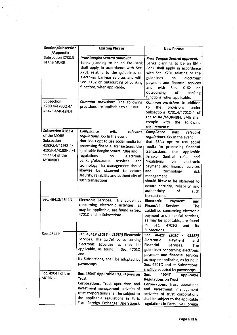| Section/Subsection<br>/Appendix                                                                                             | <b>Existing Phrase</b>                                                                                                                                                                                                                                                                                                                                                                                              | <b>New Phrase</b>                                                                                                                                                                                                                                                                                                                                                                                         |
|-----------------------------------------------------------------------------------------------------------------------------|---------------------------------------------------------------------------------------------------------------------------------------------------------------------------------------------------------------------------------------------------------------------------------------------------------------------------------------------------------------------------------------------------------------------|-----------------------------------------------------------------------------------------------------------------------------------------------------------------------------------------------------------------------------------------------------------------------------------------------------------------------------------------------------------------------------------------------------------|
|                                                                                                                             |                                                                                                                                                                                                                                                                                                                                                                                                                     |                                                                                                                                                                                                                                                                                                                                                                                                           |
| Subsection X780.3<br>of the MORB<br>Subsection                                                                              | Prior Bangko Sentral approval.<br>Banks planning to be an EMI-Bank<br>shall apply in accordance with Sec.<br>X701 relating to the guidelines on<br>electronic banking services and with<br>Sec. X162 on outsourcing of banking<br>functions, when applicable.<br>Common provisions. The following                                                                                                                   | Prior Bangko Sentral approval.<br>Banks planning to be an EMI-<br>Bank shall apply in accordance<br>with Sec. X701 relating to the<br>guidelines<br>electronic<br>on<br>payment and financial services<br>and<br>with<br>Sec.<br>X162<br>on<br>outsourcing<br>of<br>banking<br>functions, when applicable.<br>Common provisions. In addition                                                              |
| X780.4/4780Q.4/<br>4642S.4/4642N.4                                                                                          | provisions are applicable to all EMIs:                                                                                                                                                                                                                                                                                                                                                                              | the<br>to<br>provisions<br>under<br>Subsections X701.4/4701Q.4 of<br>the MORB/MORNBFI, EMIs shall<br>comply<br>with<br>the<br>following<br>requirements:                                                                                                                                                                                                                                                  |
| Subsection X183.4<br>of the MORB<br>Subsection<br>4183Q.4/4198S.4/<br>4195P.4/4183N.4/4<br>1177T.4 of the<br><b>MORNBFI</b> | Compliance<br>with<br>relevant<br>regulations. Xxx In the event<br>that BSFIs opt to use social media for<br>processing financial transactions, the<br>applicable Bangko Sentral rules and<br>regulations<br>on<br>electronic<br>banking/electronic<br>services<br>and<br>technology risk management should<br>likewise be observed to<br>ensure<br>security, reliability and authenticity of<br>such transactions. | <b>Compliance</b><br>with<br>relevant<br>regulations. Xxx In the event<br>that BSFIs opt to use social<br>media for processing financial<br>transactions,<br>the<br>applicable<br>Bangko<br>Sentral<br>rules<br>and<br>regulations<br>electronic<br>on<br>payment and financial services<br>and<br>technology<br>risk<br>management<br>should likewise be observed to<br>ensure security, reliability and |
| Sec. 4641S/4641N                                                                                                            | Electronic Services. The guidelines<br>concerning electronic activities, as<br>may be applicable, are found in Sec.<br>4701Q and its Subsections.                                                                                                                                                                                                                                                                   | authenticity<br>of<br>such<br>transactions.<br>Electronic<br>Payment<br>and<br>Financial<br>Services.<br><b>The</b><br>guidelines concerning electronic<br>payment and financial services.<br>as may be applicable, are found<br>in<br>Sec.<br>4701Q<br>and<br>its<br>Subsections.                                                                                                                        |
| Sec. 4641P                                                                                                                  | Sec. 4641P (2016 - 4196P) Electronic<br>Services. The guidelines concerning<br>electronic<br>activities<br>as<br>may<br>be<br>applicable, as found in Sec. 4701Q<br>and<br>its Subsections, shall be adopted by<br>pawnshops.                                                                                                                                                                                       | Sec. 4641P<br>(2016 -<br>4196P)<br>Electronic<br>Payment<br>and<br><b>Financial</b><br>Services.<br><b>The</b><br>guidelines concerning electronic<br>payment and financial services<br>as may be applicable, as found in<br>Sec. 4701Q and its Subsections,<br>shall be adopted by pawnshops.                                                                                                            |
| Sec. 4904T of the<br><b>MORNBFI</b>                                                                                         | Sec. 4904T Applicable Regulations on<br><b>Trust</b><br>Corporations. Trust operations and<br>investment management activities of<br>trust corporations shall be subject to<br>the applicable regulations in Parts<br>Five (Foreign Exchange Operations),                                                                                                                                                           | Sec.<br>4904T<br><b>Applicable</b><br><b>Regulations on Trust</b><br>Corporations. Trust operations<br>and<br>investment<br>management<br>activities of trust corporations<br>shall be subject to the applicable<br>regulations in Parts Five (Foreign                                                                                                                                                    |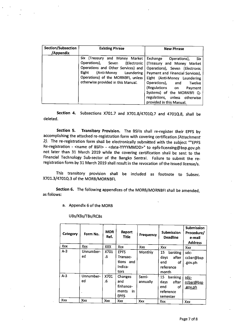| Section/Subsection<br>/Appendix | <b>Existing Phrase</b>                                                                                                                                                                                                      | <b>New Phrase</b>                                                                                                                                                                                                                                                                                                            |
|---------------------------------|-----------------------------------------------------------------------------------------------------------------------------------------------------------------------------------------------------------------------------|------------------------------------------------------------------------------------------------------------------------------------------------------------------------------------------------------------------------------------------------------------------------------------------------------------------------------|
|                                 | Six (Treasury<br>and Money Market<br>Operations), Seven<br>(Electronic<br>Operations and Other Services) and<br>Eight<br>(Anti-Money Laundering<br>Operations) of the MORNBFI, unless<br>otherwise provided in this Manual. | Exchange<br>Operations),<br>- Six<br>(Treasury and Money Market<br>Operations), Seven (Electronic<br>Payment and Financial Services),<br>Eight (Anti-Money Laundering<br>Operations), and<br>Twelve<br>(Regulations on<br>Payment<br>Systems) of the MORNBFI Q-<br>regulations, unless otherwise<br>provided in this Manual. |

Section 4. Subsections X701.7 and X701.8/4701Q.7 and 4701Q.8, shall be deleted.

Section 5. Transitory Provision. The BSFIs shall re-register their EPFS by accomplishing the attached re-registration form with covering certification (Attachment 2). The re-registration form shall be electronically submitted with the subject ""EPFS Re-registration - <name of BSFl> - <date-WYYMMDD>" to epfs-licensing@bsp. gov. ph not later than 31 March 2019 while the covering certification shall be sent to the Financial Technology Sub-sector of the Bangko Sentral. Failure to submit the reregistration form by 31 March 2019 shall result in the revocation of the issued license/s.

This transitory provision shall be included as footnote to Subsec. X701,314701Q. 3 of the MORB/MORNBFl.

Section 6. The following appendices of the MORB/MORNBFl shall be amended, as follows:

a. Appendix 6 of the MORB

| Category | Form No.        | MOR<br>Ref. | Report<br>Title                                          | <b>Frequency</b>  | Submission<br><b>Deadline</b>                                        | Submission<br>Procedure/<br>e-mail<br><b>Address</b> |
|----------|-----------------|-------------|----------------------------------------------------------|-------------------|----------------------------------------------------------------------|------------------------------------------------------|
| Xxx      | Xxx             | <b>XXX</b>  | Xxx                                                      | Xxx               | Xxx                                                                  | Xxx                                                  |
| $A-3$    | Unnumber-<br>ed | X701<br>.6  | <b>EPFS</b><br>Transac-<br>tions and<br>Indica-<br>tors  | Monthly           | 15<br>banking<br>days<br>after<br>end<br>οf<br>reference<br>month    | sdc-<br>ccbar@bsp<br>.gov.ph                         |
| $A-3$    | Unnumber-<br>ed | X701<br>.6  | Changes<br>and<br>Enhance-<br>ments<br>in<br><b>EPFS</b> | Semi-<br>annually | 15<br>banking<br>days<br>after<br>end<br>оf<br>reference<br>semester | sdc-<br>ccbar@bsp<br>.gov.ph                         |
| Xxx      | Xxx             | Xxx         | Xxx                                                      | Xxx               | Xxx                                                                  | Xxx                                                  |

UBs/KBs/TBs/RCBs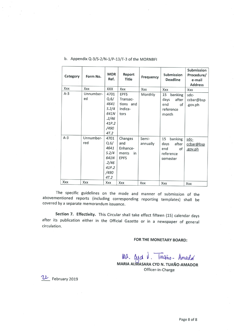| Category | Form No.         | <b>MOR</b><br>Ref.                                                      | Report<br><b>Title</b>                                   | Frequency         | Submission<br><b>Deadline</b>                                        | Submission<br>Procedure/<br>e-mail<br><b>Address</b> |
|----------|------------------|-------------------------------------------------------------------------|----------------------------------------------------------|-------------------|----------------------------------------------------------------------|------------------------------------------------------|
| Xxx      | Xxx              | XXX                                                                     | Xxx                                                      | Xxx               | Xxx                                                                  | Xxx                                                  |
| $A-3$    | Unnumber-<br>ed  | 4701<br>Q.6/<br>4641<br>S.2/4<br>641N<br>.2/46<br>41P.2<br>/490<br>4T.2 | <b>EPFS</b><br>Transac-<br>tions and<br>Indica-<br>tors  | Monthly           | 15<br>banking<br>days<br>after<br>end<br>of<br>reference<br>month    | sdc-<br>ccbar@bsp<br>.gov.ph                         |
| $A-3$    | Unnumber-<br>red | 4701<br>Q.6/<br>4641<br>S.2/4<br>641N<br>.2/46<br>41P.2<br>/490<br>4T.2 | Changes<br>and<br>Enhance-<br>ments<br>in<br><b>EPFS</b> | Semi-<br>annually | 15<br>banking<br>days<br>after<br>end<br>of<br>reference<br>semester | sdc-<br>ccbar@bsp<br>.gov.ph                         |
| Xxx      | Xxx              | Xxx                                                                     | Xxx                                                      | Xxx               | Xxx                                                                  | Xxx                                                  |

### b. Appendix Q-3/S-2/N-1/P-13/T-3 of the MORNBFI

The specific guidelines on the mode and manner of submission of th abovementioned reports (including corresponding reporting templates) shall be covered by a separate memorandum issuance.

Section 7. Effectivity. This Circular shall take effect fifteen (15) calendar days after its publication either in the Official Gazette or in a newspaper of general circulation.

### FOR THE MONETARY BOARD:

 $MA.$   $Cyd$   $\overline{V}$ .  $Tna\bar{r}_{0}$  - Amador maria almasara cyp N. Tuaño-amador

Officer-in-Charge

22 February 2019

 $\sim$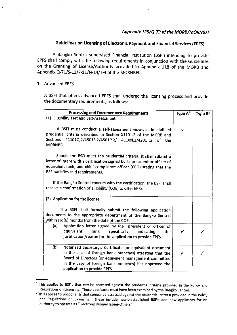# Guidelines on Licensing of Electronic Payment and Financial Services (EPFS)

A Bangko Sentral-supervised Financial Institution (BSFl) intending to provide EPFS shall comply with the following requirements in conjunction with the Guidelines on the Granting of License/Authority provided in Appendix 118 of the MORB and Appendix Q-71/S-12/P-11/N-14/T-4 of the MORNBFl.

### I. Advanced EPFS

A BSFl that offers advanced EPFS shall undergo the licensing process and provide the documentary requirements, as follows:

| <b>Processing and Documentary Requirements</b>                                                                                                                                                                                                                                  | Type $A^1$ | Type $B^2$ |
|---------------------------------------------------------------------------------------------------------------------------------------------------------------------------------------------------------------------------------------------------------------------------------|------------|------------|
| (1) Eligibility Test and Self-Assessment                                                                                                                                                                                                                                        |            |            |
| A BSFI must conduct a self-assessment vis-à-vis the defined<br>prudential criteria described in Section X1101.2 of the MORB and<br>Sections 41101Q.2/4501S.2/4501P.2/ 4110N.2/4201T.2 of the<br>MORNBFI.                                                                        | ✓          |            |
| Should the BSFI meet the prudential criteria, it shall submit a<br>letter of intent with a certification signed by its president or officer of<br>equivalent rank, and chief compliance officer (CCO) stating that the<br><b>BSFI satisfies said requirements.</b>              |            |            |
| If the Bangko Sentral concurs with the certification, the BSFI shall<br>receive a confirmation of eligibility (COE) to offer EPFS.                                                                                                                                              |            |            |
| (2) Application for the license                                                                                                                                                                                                                                                 |            |            |
| The BSFI shall formally submit the following application<br>documents to the appropriate department of the Bangko Sentral<br>within six (6) months from the date of the COE.                                                                                                    |            |            |
| (a)<br>Application letter signed by the president or officer of<br>equivalent<br>rank<br>specifically<br>indicating<br>the.<br>justification/reason for the application to provide EPFS                                                                                         |            |            |
| (b)<br>Notarized Secretary's Certificate (or equivalent document<br>in the case of foreign bank branches) attesting that the<br>Board of Directors (or equivalent management committee<br>in the case of foreign bank branches) has approved the<br>application to provide EPFS | ✓          |            |

 $1$  This applies to BSFIs that can be assessed against the prudential criteria provided in the Policy and Regulations on Licensing. These applicants must have been examined by the Bangko Sentra!.

<sup>&</sup>lt;sup>2</sup> This applies to proponents that cannot be assessed against the prudential criteria provided in the Policy and Regulations on Licensing. These include newly-established BSFIs and new applicants for an authority to operate as "Electronic Money Issuer-Others",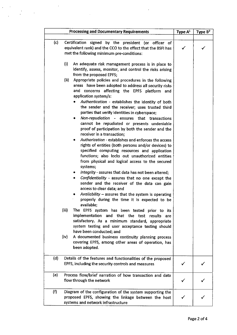| <b>Processing and Documentary Requirements</b>                                                                                                                                                                                                                                                                                                                                                         | Type $A^1$ | Type $B^2$ |
|--------------------------------------------------------------------------------------------------------------------------------------------------------------------------------------------------------------------------------------------------------------------------------------------------------------------------------------------------------------------------------------------------------|------------|------------|
| (c)<br>Certification signed by the president (or officer of<br>equivalent rank) and the CCO to the effect that the BSFI has<br>met the following minimum pre-conditions:                                                                                                                                                                                                                               | ✓          | ✓          |
| (i)<br>An adequate risk management process is in place to<br>identify, assess, monitor, and control the risks arising<br>from the proposed EPFS;                                                                                                                                                                                                                                                       |            |            |
| (ii)<br>Appropriate policies and procedures in the following<br>areas have been adopted to address all security risks<br>and concerns affecting the EPFS platform and<br>application system/s:<br>Authentication - establishes the identity of both<br>the sender and the receiver; uses trusted third<br>parties that verify identities in cyberspace;<br>Non-repudiation - ensures that transactions |            |            |
| cannot be repudiated or presents undeniable<br>proof of participation by both the sender and the<br>receiver in a transaction;<br>Authorization - establishes and enforces the access<br>rights of entities (both persons and/or devices) to<br>specified computing resources and application<br>functions; also locks out unauthorized entities<br>from physical and logical access to the secured    |            |            |
| systems;<br>Integrity - assures that data has not been altered;<br>Confidentiality - assures that no one except the<br>sender and the receiver of the data can gain<br>access to clear data; and<br>Availability - assures that the system is operating<br>$\bullet$<br>properly during the time it is expected to be                                                                                  |            |            |
| available:<br>(iii)<br>The EPFS system has been tested prior to its<br>implementation and that the test results are<br>satisfactory. As a minimum standard, appropriate<br>system testing and user acceptance testing should<br>have been conducted; and<br>(iv)<br>A documented business continuity planning process<br>covering EPFS, among other areas of operation, has<br>been adopted.           |            |            |
| (d)<br>Details of the features and functionalities of the proposed<br>EPFS, including the security controls and measures                                                                                                                                                                                                                                                                               |            |            |
| (e)<br>Process flow/brief narration of how transaction and data<br>flow through the network                                                                                                                                                                                                                                                                                                            |            |            |
| (f)<br>Diagram of the configuration of the system supporting the<br>proposed EPFS, showing the linkage between the host<br>systems and network infrastructure                                                                                                                                                                                                                                          |            |            |

 $\sim$ 

 $\sim$ 

 $\sim$   $\alpha$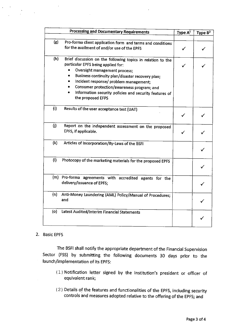|     | <b>Processing and Documentary Requirements</b>                                                                                                                                                                                                                                                                                                                | Type $A^1$ | Type $B^2$ |
|-----|---------------------------------------------------------------------------------------------------------------------------------------------------------------------------------------------------------------------------------------------------------------------------------------------------------------------------------------------------------------|------------|------------|
| (g) | Pro-forma client application form and terms and conditions<br>for the availment of and/or use of the EPFS                                                                                                                                                                                                                                                     |            |            |
| (h) | Brief discussion on the following topics in relation to the<br>particular EPFS being applied for:<br>Oversight management process;<br>Business continuity plan/disaster recovery plan;<br>Incident response/ problem management;<br>Consumer protection/awareness program; and<br>Information security policies and security features of<br>the proposed EFPS |            |            |
| (i) | Results of the user acceptance test (UAT)                                                                                                                                                                                                                                                                                                                     |            |            |
| (j) | Report on the independent assessment on the proposed<br>EPFS, if applicable.                                                                                                                                                                                                                                                                                  |            |            |
| (k) | Articles of Incorporation/By-Laws of the BSFI                                                                                                                                                                                                                                                                                                                 |            |            |
| (1) | Photocopy of the marketing materials for the proposed EPFS                                                                                                                                                                                                                                                                                                    |            |            |
|     | (m) Pro-forma agreements with accredited agents for the<br>delivery/issuance of EPFS;                                                                                                                                                                                                                                                                         |            |            |
| (n) | Anti-Money Laundering (AML) Policy/Manual of Procedures;<br>and                                                                                                                                                                                                                                                                                               |            |            |
| (o) | Latest Audited/Interim Financial Statements                                                                                                                                                                                                                                                                                                                   |            |            |

### 2. Basic EPFS

The BSFl shall notify the appropriate department of the Financial Supervision Sector (FSS) by submitting the following documents 30 days prior to the launch/implementation of its EPFS:

- (1) Notification letter signed by the institution's president or officer of equivalent rank;
- (2) Details of the features and functionalities of the EPFS, including security controls and measures adopted relative to the offering of the EPFS; and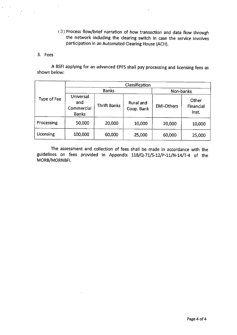( 3 ) Process flow/brief narration of how transaction and data flow through the network including the clearing switch in case the service involves participation in an Automated Clearing House (ACH).

### 3. Fees

A BSFl applying for an advanced EPFS shall pay processing and licensing fees as shown below:

|             | Classification                                 |                     |                         |                   |                             |  |  |
|-------------|------------------------------------------------|---------------------|-------------------------|-------------------|-----------------------------|--|--|
|             |                                                | <b>Banks</b>        | Non-banks               |                   |                             |  |  |
| Type of Fee | Universal<br>and<br>Commercial<br><b>Banks</b> | <b>Thrift Banks</b> | Rural and<br>Coop. Bank | <b>EMI-Others</b> | Other<br>Financial<br>Inst. |  |  |
| Processing  | 50,000                                         | 20,000              | 10,000                  | 20,000            | 10,000                      |  |  |
| Licensing   | 100,000                                        | 60,000              | 25,000                  | 60,000            | 25,000                      |  |  |

The assessment and collection of fees shall be made in accordance with the guidelines on fees provided in Appendix 118/Q-71/S-12/P-11/N-14/T-4 of the MORB/MORNBFl.

 $\mathcal{L}$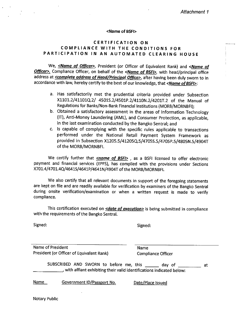#### <Name of BSFl>

## CERTIFICATION ON COMPLIANCE WITH THE CONDITIONS FOR PARTICIPATION IN AN AUTOMATED CLEARING HOUSE

Officer>, Compliance Officer, on behalf of the <Name of BSFI>, with head/principal office address at *<complete address of Head/Principal Office>*, after having been duly sworn to in We, <Name of Officer>, President (or Officer of Equivalent Rank) and <Name of accordance with law, hereby certify to the best of our knowledge, that <Name of BSFI>:

- a. Has satisfactorily met the prudential criteria provided under Subsection X1101.2/41101Q. 2/ 4501S. 2/4501P. 2/4110N. 2/4201T. 2 of the Manual of Regulations for Banks/Non-Bank Financial Institutions (MORB/MORNBFl);
- b. Obtained a satisfactory assessment in the areas of Information Technology (IT), Anti-Money Laundering (AML), and Consumer Protection, as applicable, in the last examination conducted by the Bangko Sentral; and
- c. Is capable of complying with the specific rules applicable to transactions performed under the National Retail Payment System Framework as provided in Subsection X1205.5/41205Q.5/4705S.5/4705P.5/4805N.5/4904T of the MORB/MORNBFl.

We certify further that  $\leq$ name of BSFI>, as a BSFI licensed to offer electronic payment and financial services (EPFS), has complied with the provisions under Sections X70L. 41470L, 4Q/464LS/4641P/464LN/4904T of the MORB/MORNBFl.

We also certify that all relevant documents in support of the foregoing statements are kept on file and are readily available for verification by examiners of the Bangko Sentral during onsite verification/examination or when a written request is made to verify compliance.

This certification executed on *<date of execution>* is being submitted in compliance with the requirements of the Bangko Sentral.

Signed:

Signed:

Name of President Name President (or Officer of Equivalent Rank) Compliance Officer

SUBSCRIBED AND SWORN to before me, this \_\_\_\_\_\_ day of  $\cup$  with affiant exhibiting their valid identifications indicated below: at

Name Government ID/Passport No. Date/Place Issued

Notary Public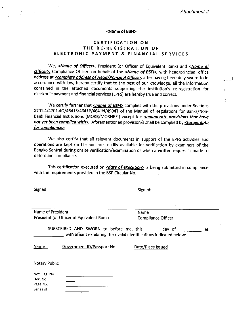$\pm$ 

#### <Name of BSFl>

### CERTIFICATION ON THE RE-REGISTRATION OF ELECTRONIC PAYMENT & FINANCIAL SERVICES

Officer>, Compliance Officer, on behalf of the <Name of BSFI>, with head/principal office address at *<complete address of Head/Principal Office>*, after having been duly sworn to in accordance with law, hereby certify that to the best of our knowledge, all the information electronic payment and financial services (EPFS) are hereby true and correct. We, <*Name of Officer>*, President (or Officer of Equivalent Rank) and <*Name of* contained in the attached documents supporting the institution's re-registration for

We certify further that  $\leq$  name of BSFI> complies with the provisions under Sections X701.4/4701.4Q/4641S/4641P/4641N/4904T of the Manual of Regulations for Banks/Non-Bank Financial Institutions (MORB/MORNBFI) except for: **<enumerate provisions that have** not yet been complied with>. Aforementioned provision/s shall be complied by <target date for compliance>.

We also certify that all relevant documents in support of the EPFS activities and operations are kept on file and are readily available for verification by examiners of the Bangko Sentral during onsite verification/examination or when a written request is made to determine compliance.

This certification executed on <date of execution> is being submitted in compliance with the requirements provided in the BSP Circular No.

Signed:

.

Signed:

Name of President Name Name President (or Officer of Equivalent Rank) Compliance Officer

SUBSCRIBED AND SWORN to before me, this \_\_\_\_\_\_ day of with affiant exhibiting their valid identifications indicated below: at

Name

Government ID/Passport No.

Date/Place Issued

Notary Public

| Not. Reg. No. |  |
|---------------|--|
| Doc. No.      |  |
| Page No.      |  |
| Series of     |  |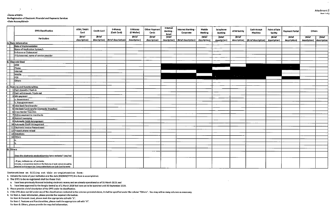#### <Name of BSFl>. Re-Registration of Electronic rinandaland Payments Services<Date Accomplished>

,

 $\sim$ 

|           | <b>EPFS Classification</b>                                                                                                                                                                | ATM / Debit<br>Card    | Credit Card | E-Money<br>(Cash Card)           | Internet<br><b>Other Payment</b><br>E-Money<br>Internet Banking -<br>Mobile<br>Banking-<br>(E-Wallet)<br>Cards<br>Corporate<br><b>Banking</b><br>Retall |                        | Telephone<br><b>Banking</b> | <b>Cash Accept</b><br><b>ATM facility</b><br>Machine |                        | <b>Point of Sale</b><br>facility | <b>Payment Portal</b>         | Others              |                        |                        |                        |                       |
|-----------|-------------------------------------------------------------------------------------------------------------------------------------------------------------------------------------------|------------------------|-------------|----------------------------------|---------------------------------------------------------------------------------------------------------------------------------------------------------|------------------------|-----------------------------|------------------------------------------------------|------------------------|----------------------------------|-------------------------------|---------------------|------------------------|------------------------|------------------------|-----------------------|
|           | <b>Particulars</b>                                                                                                                                                                        | (Brief<br>description) | (Brief      | description) (Brief description) | (Brief<br>description)                                                                                                                                  | (Brief<br>description) | (Brief<br>description)      | (Brief description)                                  | (Brief<br>description) | <b>Brief</b><br>description)     | (Brief<br>description)        | (Brief description) | (Brief<br>description) | (Brief<br>description) | (Brief<br>description) | (Brief<br>description |
|           | A. Basic Information                                                                                                                                                                      |                        |             |                                  |                                                                                                                                                         |                        |                             |                                                      |                        |                                  |                               |                     |                        |                        |                        |                       |
|           | Date of Implementation                                                                                                                                                                    |                        |             |                                  |                                                                                                                                                         |                        |                             |                                                      |                        |                                  |                               |                     |                        |                        |                        |                       |
|           | Name of Application System/s                                                                                                                                                              |                        |             |                                  |                                                                                                                                                         |                        |                             |                                                      |                        |                                  |                               |                     |                        |                        |                        |                       |
|           | In-house or Outsourced                                                                                                                                                                    |                        |             |                                  |                                                                                                                                                         |                        |                             |                                                      |                        |                                  |                               |                     |                        |                        |                        |                       |
|           | If Outsourced, name of service provider                                                                                                                                                   |                        |             |                                  |                                                                                                                                                         |                        |                             |                                                      |                        |                                  |                               |                     |                        |                        |                        |                       |
|           |                                                                                                                                                                                           |                        |             |                                  |                                                                                                                                                         |                        |                             |                                                      |                        |                                  |                               |                     |                        |                        |                        |                       |
|           | Channels Used                                                                                                                                                                             |                        |             |                                  |                                                                                                                                                         |                        |                             |                                                      |                        |                                  |                               |                     |                        |                        |                        |                       |
|           | <b>ATM</b>                                                                                                                                                                                |                        |             |                                  |                                                                                                                                                         |                        |                             |                                                      |                        |                                  |                               |                     |                        |                        |                        |                       |
|           | Phone                                                                                                                                                                                     |                        |             |                                  |                                                                                                                                                         |                        |                             |                                                      |                        |                                  |                               |                     |                        | $\mathbb{R}^m$         |                        |                       |
|           | Internet                                                                                                                                                                                  |                        |             |                                  |                                                                                                                                                         |                        |                             |                                                      |                        |                                  |                               |                     |                        |                        |                        |                       |
|           | Mobile                                                                                                                                                                                    |                        |             |                                  |                                                                                                                                                         |                        |                             |                                                      |                        |                                  |                               |                     |                        |                        |                        |                       |
|           | POS                                                                                                                                                                                       |                        |             |                                  |                                                                                                                                                         |                        |                             |                                                      |                        |                                  | $\sigma$ , and $\sigma$ , and |                     |                        |                        |                        |                       |
|           | <b>Others</b>                                                                                                                                                                             |                        |             |                                  |                                                                                                                                                         |                        |                             |                                                      |                        |                                  |                               |                     |                        |                        |                        |                       |
|           |                                                                                                                                                                                           |                        |             |                                  |                                                                                                                                                         |                        |                             |                                                      |                        |                                  |                               |                     |                        |                        |                        |                       |
|           | <b>Features and Functionalities</b>                                                                                                                                                       |                        |             |                                  |                                                                                                                                                         |                        |                             |                                                      |                        |                                  |                               |                     |                        |                        |                        |                       |
|           | 1 Cash deposits / Cash-in                                                                                                                                                                 |                        |             |                                  |                                                                                                                                                         |                        |                             |                                                      |                        |                                  |                               |                     |                        |                        |                        |                       |
|           | 2 Cash withdrawals / Cash-out                                                                                                                                                             |                        |             |                                  |                                                                                                                                                         |                        |                             |                                                      |                        |                                  |                               |                     |                        |                        |                        |                       |
|           | 3 Bills payment                                                                                                                                                                           |                        |             |                                  |                                                                                                                                                         |                        |                             |                                                      |                        |                                  |                               |                     |                        |                        |                        |                       |
|           | a. Government                                                                                                                                                                             |                        |             |                                  |                                                                                                                                                         |                        |                             |                                                      |                        |                                  |                               |                     |                        |                        |                        |                       |
|           |                                                                                                                                                                                           |                        |             |                                  |                                                                                                                                                         |                        |                             |                                                      |                        |                                  |                               |                     |                        |                        |                        |                       |
|           | b. Non-government                                                                                                                                                                         |                        |             |                                  |                                                                                                                                                         |                        |                             |                                                      |                        |                                  |                               |                     |                        |                        |                        |                       |
|           | 4 Intra-bank fund transfer                                                                                                                                                                |                        |             |                                  |                                                                                                                                                         |                        |                             |                                                      |                        |                                  |                               |                     |                        |                        |                        |                       |
|           | 5 Interbank fund transfer (Domestic Transfers)                                                                                                                                            |                        |             |                                  |                                                                                                                                                         |                        |                             |                                                      |                        |                                  |                               |                     |                        |                        |                        |                       |
|           | 6 Cross Border Transfers                                                                                                                                                                  |                        |             |                                  |                                                                                                                                                         |                        |                             |                                                      |                        |                                  |                               |                     |                        |                        |                        |                       |
|           | 7 Online payment to merchants                                                                                                                                                             |                        |             |                                  |                                                                                                                                                         |                        |                             |                                                      |                        |                                  |                               |                     |                        |                        |                        |                       |
|           | 8 Account sweeping                                                                                                                                                                        |                        |             |                                  |                                                                                                                                                         |                        |                             |                                                      |                        |                                  |                               |                     |                        |                        |                        |                       |
|           | 9 Automatic Debit Arrangement                                                                                                                                                             |                        |             |                                  |                                                                                                                                                         |                        |                             |                                                      |                        |                                  |                               |                     |                        |                        |                        |                       |
|           | 10 Automatic Credit Arrangement                                                                                                                                                           |                        |             |                                  |                                                                                                                                                         |                        |                             |                                                      |                        |                                  |                               |                     |                        |                        |                        |                       |
|           | 11 Electronic Invoice Presentment                                                                                                                                                         |                        |             |                                  |                                                                                                                                                         |                        |                             |                                                      |                        |                                  |                               |                     |                        |                        |                        |                       |
|           | 12 Prepaid phone reload                                                                                                                                                                   |                        |             |                                  |                                                                                                                                                         |                        |                             |                                                      |                        |                                  |                               |                     |                        |                        |                        |                       |
|           | 13 Donations                                                                                                                                                                              |                        |             |                                  |                                                                                                                                                         |                        |                             |                                                      |                        |                                  |                               |                     |                        |                        |                        |                       |
|           | 14 Others                                                                                                                                                                                 |                        |             |                                  |                                                                                                                                                         |                        |                             |                                                      |                        |                                  |                               |                     |                        |                        |                        |                       |
|           |                                                                                                                                                                                           |                        |             |                                  |                                                                                                                                                         |                        |                             |                                                      |                        |                                  |                               |                     |                        |                        |                        |                       |
|           |                                                                                                                                                                                           |                        |             |                                  |                                                                                                                                                         |                        |                             |                                                      |                        |                                  |                               |                     |                        |                        |                        |                       |
|           |                                                                                                                                                                                           |                        |             |                                  |                                                                                                                                                         |                        |                             |                                                      |                        |                                  |                               |                     |                        |                        |                        |                       |
| D. Others |                                                                                                                                                                                           |                        |             |                                  |                                                                                                                                                         |                        |                             |                                                      |                        |                                  |                               |                     |                        |                        |                        |                       |
|           | Does the electronic product/service have variants? (yes/no)                                                                                                                               |                        |             |                                  |                                                                                                                                                         |                        |                             |                                                      |                        |                                  |                               |                     |                        |                        |                        |                       |
|           | - If yes, indicate no. of variants.<br>Likewise, a comparative matrix on the features of each variant should be<br>attached to this report (ex. Comparative Matrix on Cash Card Variants) |                        |             |                                  |                                                                                                                                                         |                        |                             |                                                      |                        |                                  |                               |                     |                        |                        |                        |                       |

Instructions on filling out this re-registration form:

t. Indicate the name of your Institution and the date IDD/MMIYYW) this form is accomplished.

2. The EPFS to be re-registered shall be those that:

lo

a. have been previously-licensed Inauding electronic money and are already operational as of 31 March 2019; and

b. have been approved by the Bangko Sentral as of I March 2019 but have yet to be launched until30 September 2019.

3. Please provide a brief description of the EPFS under its classification.

3. If the EPFS does not fall under any of the classifications indicated in the columns provided above, it shall be specified under the column "Others". You may add as many columns as necessary

 $\sim$   $\sim$ 

4. For Item A. Basic Information. please provide the required information

For Item 8. Channels Used, please mark the appropriate cell with "X".

For Item C. Features and Functionalities, please mark the appropriate cell with "X"

For Item D. Others, please provide the requried information.

 $\sim$